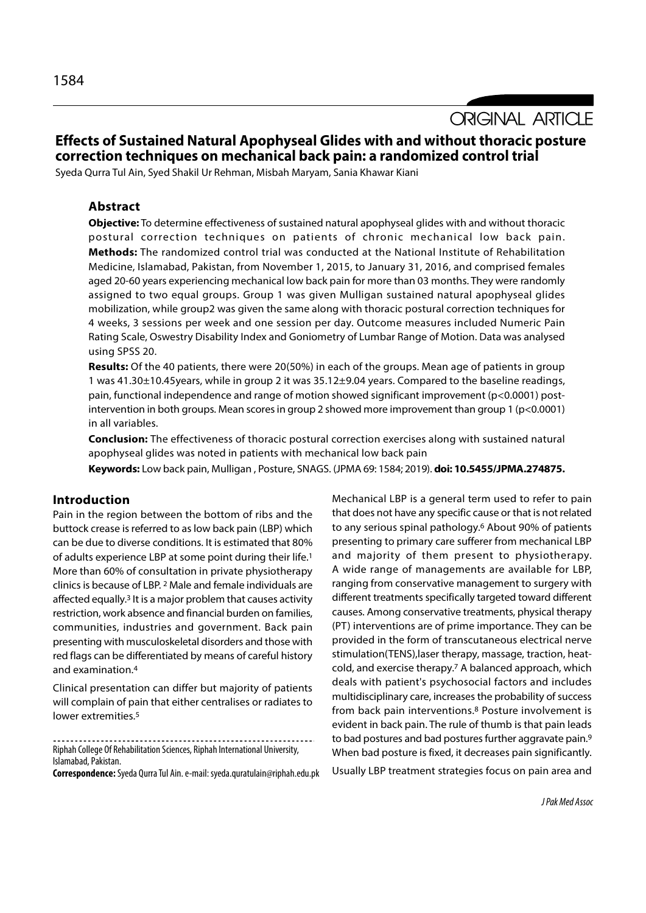**ORIGINAL ARTICLE** 

# Effects of Sustained Natural Apophyseal Glides with and without thoracic posture correction techniques on mechanical back pain: a randomized control trial

Syeda Qurra Tul Ain, Syed Shakil Ur Rehman, Misbah Maryam, Sania Khawar Kiani

## Abstract

Objective: To determine effectiveness of sustained natural apophyseal glides with and without thoracic postural correction techniques on patients of chronic mechanical low back pain. Methods: The randomized control trial was conducted at the National Institute of Rehabilitation Medicine, Islamabad, Pakistan, from November 1, 2015, to January 31, 2016, and comprised females aged 20-60 years experiencing mechanical low back pain for more than 03 months. They were randomly assigned to two equal groups. Group 1 was given Mulligan sustained natural apophyseal glides mobilization, while group2 was given the same along with thoracic postural correction techniques for 4 weeks, 3 sessions per week and one session per day. Outcome measures included Numeric Pain Rating Scale, Oswestry Disability Index and Goniometry of Lumbar Range of Motion. Data was analysed using SPSS 20.

Results: Of the 40 patients, there were 20(50%) in each of the groups. Mean age of patients in group 1 was 41.30±10.45years, while in group 2 it was 35.12±9.04 years. Compared to the baseline readings, pain, functional independence and range of motion showed significant improvement (p<0.0001) postintervention in both groups. Mean scores in group 2 showed more improvement than group 1 (p<0.0001) in all variables.

**Conclusion:** The effectiveness of thoracic postural correction exercises along with sustained natural apophyseal glides was noted in patients with mechanical low back pain

Keywords: Low back pain, Mulligan , Posture, SNAGS. (JPMA 69: 1584; 2019). doi: 10.5455/JPMA.274875.

### Introduction

Pain in the region between the bottom of ribs and the buttock crease is referred to as low back pain (LBP) which can be due to diverse conditions. It is estimated that 80% of adults experience LBP at some point during their life.1 More than 60% of consultation in private physiotherapy clinics is because of LBP. 2 Male and female individuals are affected equally.3 It is a major problem that causes activity restriction, work absence and financial burden on families, communities, industries and government. Back pain presenting with musculoskeletal disorders and those with red flags can be differentiated by means of careful history and examination.4

Clinical presentation can differ but majority of patients will complain of pain that either centralises or radiates to lower extremities.<sup>5</sup>

Correspondence: Syeda Qurra Tul Ain. e-mail: syeda.quratulain@riphah.edu.pk

Mechanical LBP is a general term used to refer to pain that does not have any specific cause or that is not related to any serious spinal pathology.6 About 90% of patients presenting to primary care sufferer from mechanical LBP and majority of them present to physiotherapy. A wide range of managements are available for LBP, ranging from conservative management to surgery with different treatments specifically targeted toward different causes. Among conservative treatments, physical therapy (PT) interventions are of prime importance. They can be provided in the form of transcutaneous electrical nerve stimulation(TENS),laser therapy, massage, traction, heatcold, and exercise therapy.7 A balanced approach, which deals with patient's psychosocial factors and includes multidisciplinary care, increases the probability of success from back pain interventions.8 Posture involvement is evident in back pain. The rule of thumb is that pain leads to bad postures and bad postures further aggravate pain.9 When bad posture is fixed, it decreases pain significantly. Usually LBP treatment strategies focus on pain area and

Riphah College Of Rehabilitation Sciences, Riphah International University, Islamabad, Pakistan.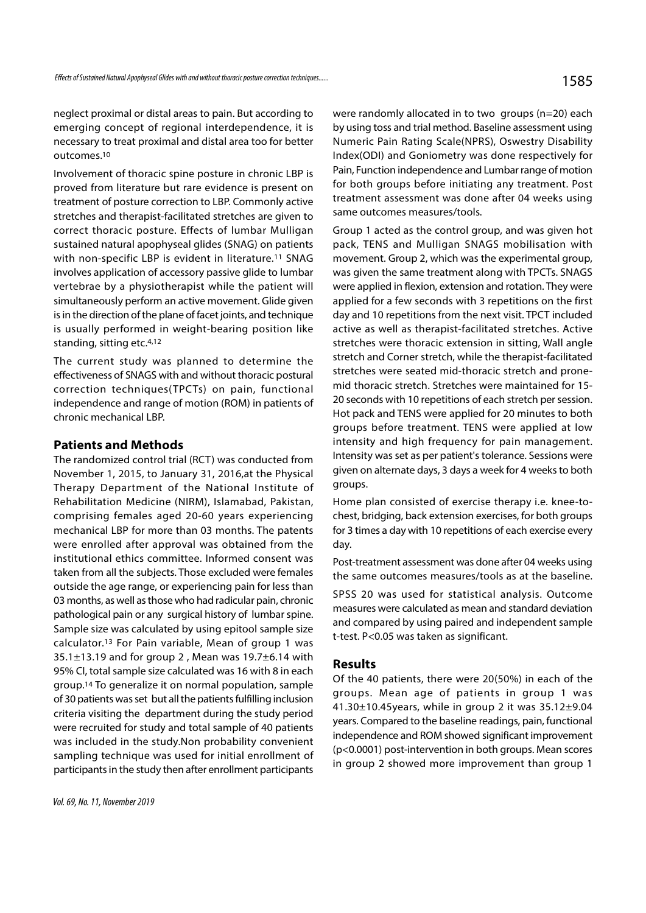neglect proximal or distal areas to pain. But according to emerging concept of regional interdependence, it is necessary to treat proximal and distal area too for better outcomes.10

Involvement of thoracic spine posture in chronic LBP is proved from literature but rare evidence is present on treatment of posture correction to LBP. Commonly active stretches and therapist-facilitated stretches are given to correct thoracic posture. Effects of lumbar Mulligan sustained natural apophyseal glides (SNAG) on patients with non-specific LBP is evident in literature.<sup>11</sup> SNAG involves application of accessory passive glide to lumbar vertebrae by a physiotherapist while the patient will simultaneously perform an active movement. Glide given is in the direction of the plane of facet joints, and technique is usually performed in weight-bearing position like standing, sitting etc.4,12

The current study was planned to determine the effectiveness of SNAGS with and without thoracic postural correction techniques(TPCTs) on pain, functional independence and range of motion (ROM) in patients of chronic mechanical LBP.

#### Patients and Methods

The randomized control trial (RCT) was conducted from November 1, 2015, to January 31, 2016,at the Physical Therapy Department of the National Institute of Rehabilitation Medicine (NIRM), Islamabad, Pakistan, comprising females aged 20-60 years experiencing mechanical LBP for more than 03 months. The patents were enrolled after approval was obtained from the institutional ethics committee. Informed consent was taken from all the subjects. Those excluded were females outside the age range, or experiencing pain for less than 03 months, as well as those who had radicular pain, chronic pathological pain or any surgical history of lumbar spine. Sample size was calculated by using epitool sample size calculator.13 For Pain variable, Mean of group 1 was 35.1±13.19 and for group 2 , Mean was 19.7±6.14 with 95% CI, total sample size calculated was 16 with 8 in each group.14 To generalize it on normal population, sample of 30 patients was set but all the patients fulfilling inclusion criteria visiting the department during the study period were recruited for study and total sample of 40 patients was included in the study.Non probability convenient sampling technique was used for initial enrollment of participants in the study then after enrollment participants

were randomly allocated in to two groups (n=20) each by using toss and trial method. Baseline assessment using Numeric Pain Rating Scale(NPRS), Oswestry Disability Index(ODI) and Goniometry was done respectively for Pain, Function independence and Lumbar range of motion for both groups before initiating any treatment. Post treatment assessment was done after 04 weeks using same outcomes measures/tools.

Group 1 acted as the control group, and was given hot pack, TENS and Mulligan SNAGS mobilisation with movement. Group 2, which was the experimental group, was given the same treatment along with TPCTs. SNAGS were applied in flexion, extension and rotation. They were applied for a few seconds with 3 repetitions on the first day and 10 repetitions from the next visit. TPCT included active as well as therapist-facilitated stretches. Active stretches were thoracic extension in sitting, Wall angle stretch and Corner stretch, while the therapist-facilitated stretches were seated mid-thoracic stretch and pronemid thoracic stretch. Stretches were maintained for 15- 20 seconds with 10 repetitions of each stretch per session. Hot pack and TENS were applied for 20 minutes to both groups before treatment. TENS were applied at low intensity and high frequency for pain management. Intensity was set as per patient's tolerance. Sessions were given on alternate days, 3 days a week for 4 weeks to both groups.

Home plan consisted of exercise therapy i.e. knee-tochest, bridging, back extension exercises, for both groups for 3 times a day with 10 repetitions of each exercise every day.

Post-treatment assessment was done after 04 weeks using the same outcomes measures/tools as at the baseline.

SPSS 20 was used for statistical analysis. Outcome measures were calculated as mean and standard deviation and compared by using paired and independent sample t-test. P<0.05 was taken as significant.

## Results

Of the 40 patients, there were 20(50%) in each of the groups. Mean age of patients in group 1 was 41.30±10.45years, while in group 2 it was 35.12±9.04 years. Compared to the baseline readings, pain, functional independence and ROM showed significant improvement (p<0.0001) post-intervention in both groups. Mean scores in group 2 showed more improvement than group 1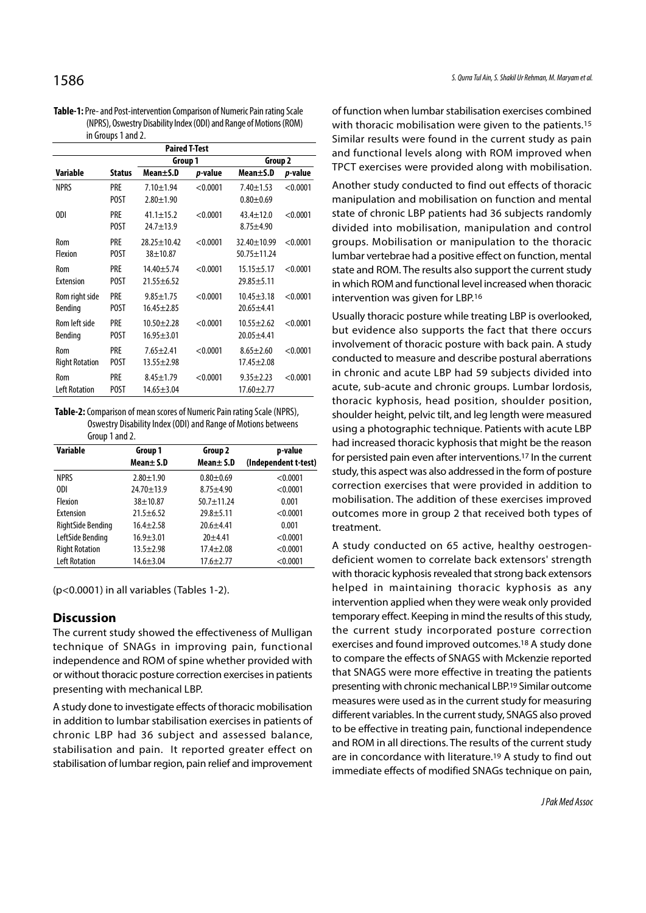| <b>Table-1:</b> Pre- and Post-intervention Comparison of Numeric Pain rating Scale |
|------------------------------------------------------------------------------------|
| (NPRS), Oswestry Disability Index (ODI) and Range of Motions (ROM)                 |
| in Groups 1 and 2.                                                                 |

| <b>Paired T-Test</b>         |                           |                                     |          |                                     |          |  |
|------------------------------|---------------------------|-------------------------------------|----------|-------------------------------------|----------|--|
|                              |                           | Group 1                             |          | Group 2                             |          |  |
| Variable                     | <b>Status</b>             | Mean±S.D                            | p-value  | Mean±S.D                            | p-value  |  |
| <b>NPRS</b>                  | PRE<br><b>POST</b>        | $7.10 + 1.94$<br>$2.80 + 1.90$      | < 0.0001 | $7.40 \pm 1.53$<br>$0.80 + 0.69$    | < 0.0001 |  |
| ODI                          | <b>PRE</b><br><b>POST</b> | $41.1 \pm 15.2$<br>$24.7 + 13.9$    | < 0.0001 | $43.4 \pm 12.0$<br>$8.75 + 4.90$    | < 0.0001 |  |
| Rom<br>Flexion               | <b>PRE</b><br><b>POST</b> | $28.25 + 10.42$<br>$38 + 10.87$     | < 0.0001 | 32.40±10.99<br>$50.75 \pm 11.24$    | < 0.0001 |  |
| Rom<br>Extension             | PRE<br><b>POST</b>        | $14.40 + 5.74$<br>$21.55 + 6.52$    | < 0.0001 | $15.15 \pm 5.17$<br>$29.85 + 5.11$  | < 0.0001 |  |
| Rom right side<br>Bending    | <b>PRE</b><br><b>POST</b> | $9.85 \pm 1.75$<br>$16.45 \pm 2.85$ | < 0.0001 | $10.45 \pm 3.18$<br>$20.65 + 4.41$  | < 0.0001 |  |
| Rom left side<br>Bending     | <b>PRE</b><br><b>POST</b> | $10.50 + 2.28$<br>$16.95 \pm 3.01$  | < 0.0001 | $10.55 \pm 2.62$<br>$20.05 + 4.41$  | < 0.0001 |  |
| Rom<br><b>Right Rotation</b> | <b>PRE</b><br><b>POST</b> | $7.65 \pm 2.41$<br>$13.55 \pm 2.98$ | < 0.0001 | $8.65 \pm 2.60$<br>$17.45 \pm 2.08$ | < 0.0001 |  |
| Rom<br><b>Left Rotation</b>  | <b>PRE</b><br>POST        | $8.45 \pm 1.79$<br>$14.65 \pm 3.04$ | < 0.0001 | $9.35 \pm 2.23$<br>$17.60 + 2.77$   | < 0.0001 |  |

Table-2: Comparison of mean scores of Numeric Pain rating Scale (NPRS), Oswestry Disability Index (ODI) and Range of Motions betweens Group 1 and 2.

| <b>Variable</b>       | Group 1<br>Mean $\pm$ S.D | Group 2<br>Mean $\pm$ S.D | p-value<br>(Independent t-test) |
|-----------------------|---------------------------|---------------------------|---------------------------------|
| <b>NPRS</b>           | $2.80 \pm 1.90$           | $0.80 + 0.69$             | < 0.0001                        |
| 0DI                   | 24.70±13.9                | $8.75 \pm 4.90$           | < 0.0001                        |
| Flexion               | $38 + 10.87$              | $50.7 + 11.24$            | 0.001                           |
| Extension             | $21.5 \pm 6.52$           | $29.8 + 5.11$             | < 0.0001                        |
| RightSide Bending     | $16.4 \pm 2.58$           | $20.6 + 4.41$             | 0.001                           |
| LeftSide Bending      | $16.9 \pm 3.01$           | $20 + 4.41$               | < 0.0001                        |
| <b>Right Rotation</b> | $13.5 \pm 2.98$           | $17.4 + 2.08$             | < 0.0001                        |
| <b>Left Rotation</b>  | $14.6 \pm 3.04$           | $17.6 \pm 2.77$           | < 0.0001                        |

(p<0.0001) in all variables (Tables 1-2).

# **Discussion**

The current study showed the effectiveness of Mulligan technique of SNAGs in improving pain, functional independence and ROM of spine whether provided with or without thoracic posture correction exercises in patients presenting with mechanical LBP.

A study done to investigate effects of thoracic mobilisation in addition to lumbar stabilisation exercises in patients of chronic LBP had 36 subject and assessed balance, stabilisation and pain. It reported greater effect on stabilisation of lumbar region, pain relief and improvement

of function when lumbar stabilisation exercises combined with thoracic mobilisation were given to the patients.<sup>15</sup> Similar results were found in the current study as pain and functional levels along with ROM improved when TPCT exercises were provided along with mobilisation.

Another study conducted to find out effects of thoracic manipulation and mobilisation on function and mental state of chronic LBP patients had 36 subjects randomly divided into mobilisation, manipulation and control groups. Mobilisation or manipulation to the thoracic lumbar vertebrae had a positive effect on function, mental state and ROM. The results also support the current study in which ROM and functional level increased when thoracic intervention was given for LBP.16

Usually thoracic posture while treating LBP is overlooked, but evidence also supports the fact that there occurs involvement of thoracic posture with back pain. A study conducted to measure and describe postural aberrations in chronic and acute LBP had 59 subjects divided into acute, sub-acute and chronic groups. Lumbar lordosis, thoracic kyphosis, head position, shoulder position, shoulder height, pelvic tilt, and leg length were measured using a photographic technique. Patients with acute LBP had increased thoracic kyphosis that might be the reason for persisted pain even after interventions.17 In the current study, this aspect was also addressed in the form of posture correction exercises that were provided in addition to mobilisation. The addition of these exercises improved outcomes more in group 2 that received both types of treatment.

A study conducted on 65 active, healthy oestrogendeficient women to correlate back extensors' strength with thoracic kyphosis revealed that strong back extensors helped in maintaining thoracic kyphosis as any intervention applied when they were weak only provided temporary effect. Keeping in mind the results of this study, the current study incorporated posture correction exercises and found improved outcomes.18 A study done to compare the effects of SNAGS with Mckenzie reported that SNAGS were more effective in treating the patients presenting with chronic mechanical LBP.19 Similar outcome measures were used as in the current study for measuring different variables. In the current study, SNAGS also proved to be effective in treating pain, functional independence and ROM in all directions. The results of the current study are in concordance with literature.19 A study to find out immediate effects of modified SNAGs technique on pain,